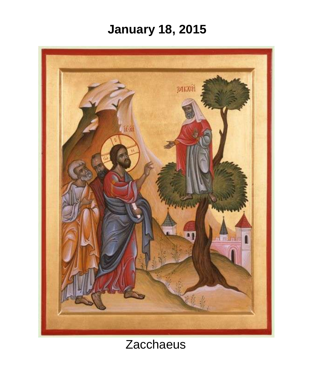# **January 18, 2015**



# **Zacchaeus**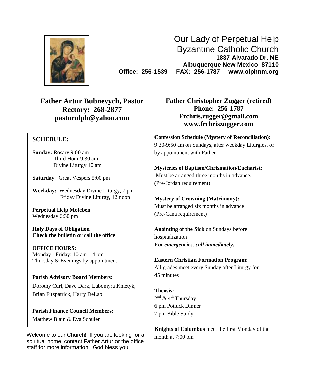

Our Lady of Perpetual Help Byzantine Catholic Church **1837 Alvarado Dr. NE Albuquerque New Mexico 87110 Office: 256-1539 FAX: 256-1787 www.olphnm.org**

**Father Artur Bubnevych, Pastor Rectory: 268-2877 [pastorolph@yahoo.com](mailto:pastorolph@yahoo.com)**

#### **SCHEDULE:**

**Sunday:** Rosary 9:00 am Third Hour 9:30 am Divine Liturgy 10 am

**Saturday**: Great Vespers 5:00 pm

**Weekday:** Wednesday Divine Liturgy, 7 pm Friday Divine Liturgy, 12 noon

**Perpetual Help Moleben** Wednesday 6:30 pm

**Holy Days of Obligation Check the bulletin or call the office**

**OFFICE HOURS:** Monday - Friday: 10 am – 4 pm Thursday & Evenings by appointment.

**Parish Advisory Board Members:**

Dorothy Curl, Dave Dark, Lubomyra Kmetyk, Brian Fitzpatrick, Harry DeLap

**Parish Finance Council Members:** Matthew Blain & Eva Schuler

Welcome to our Church! If you are looking for a spiritual home, contact Father Artur or the office staff for more information. God bless you.

**Father Christopher Zugger (retired) Phone: 256-1787 [Frchris.zugger@gmail.com](mailto:Frchris.zugger@gmail.com) www.frchriszugger.com**

**Confession Schedule (Mystery of Reconciliation):** 9:30-9:50 am on Sundays, after weekday Liturgies, or by appointment with Father

**Mysteries of Baptism/Chrismation/Eucharist:** Must be arranged three months in advance. (Pre-Jordan requirement)

**Mystery of Crowning (Matrimony):** Must be arranged six months in advance (Pre-Cana requirement)

**Anointing of the Sick** on Sundays before hospitalization *For emergencies, call immediately.*

**Eastern Christian Formation Program**: All grades meet every Sunday after Liturgy for 45 minutes

**Theosis:** 2<sup>nd</sup> & 4<sup>th</sup> Thursday 6 pm Potluck Dinner 7 pm Bible Study

**Knights of Columbus** meet the first Monday of the month at 7:00 pm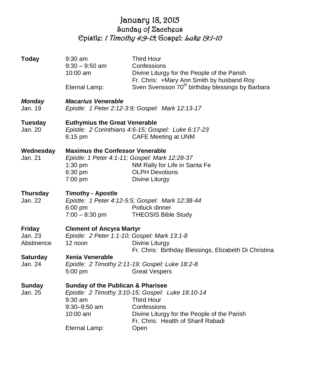# January 18, 2015 Sunday of Zaccheus Epistle: 1 Timothy 4:9-15; Gospel: Luke 19:1-10

| <b>Today</b>                    | $9:30$ am<br>$9:30 - 9:50$ am<br>$10:00$ am                                                                                                                           | <b>Third Hour</b><br>Confessions<br>Divine Liturgy for the People of the Parish<br>Fr. Chris: +Mary Ann Smith by husband Roy                                                       |  |  |  |
|---------------------------------|-----------------------------------------------------------------------------------------------------------------------------------------------------------------------|------------------------------------------------------------------------------------------------------------------------------------------------------------------------------------|--|--|--|
|                                 | Eternal Lamp:                                                                                                                                                         | Sven Svensson 70 <sup>th</sup> birthday blessings by Barbara                                                                                                                       |  |  |  |
| <b>Monday</b><br>Jan. 19        | <b>Macarius Venerable</b><br>Epistle: 1 Peter 2:12-3:9; Gospel: Mark 12:13-17                                                                                         |                                                                                                                                                                                    |  |  |  |
| <b>Tuesday</b><br>Jan. 20       | <b>Euthymius the Great Venerable</b><br>Epistle: 2 Corinthians 4:6-15; Gospel: Luke 6:17-23<br><b>CAFE Meeting at UNM</b><br>$6:15$ pm                                |                                                                                                                                                                                    |  |  |  |
| Wednesday<br>Jan. 21            | <b>Maximus the Confessor Venerable</b><br>1:30 pm<br>6:30 pm<br>7:00 pm                                                                                               | Epistle: 1 Peter 4:1-11; Gospel: Mark 12:28-37<br>NM Rally for Life in Santa Fe<br><b>OLPH Devotions</b><br>Divine Liturgy                                                         |  |  |  |
| <b>Thursday</b><br>Jan. 22      | <b>Timothy - Apostle</b><br>Epistle: 1 Peter 4:12-5:5; Gospel: Mark 12:38-44<br>Potluck dinner<br>$6:00$ pm<br>$7:00 - 8:30$ pm<br><b>THEOSIS Bible Study</b>         |                                                                                                                                                                                    |  |  |  |
| Friday<br>Jan. 23<br>Abstinence | <b>Clement of Ancyra Martyr</b><br>Epistle: 2 Peter 1:1-10; Gospel: Mark 13:1-8<br>12 noon<br>Divine Liturgy<br>Fr. Chris: Birthday Blessings, Elizabeth Di Christina |                                                                                                                                                                                    |  |  |  |
| <b>Saturday</b><br>Jan. 24      | <b>Xenia Venerable</b><br>Epistle: 2 Timothy 2:11-19; Gospel: Luke 18:2-8<br>5:00 pm<br><b>Great Vespers</b>                                                          |                                                                                                                                                                                    |  |  |  |
| Sunday<br>Jan. 25               | <b>Sunday of the Publican &amp; Pharisee</b><br>$9:30$ am<br>$9:30 - 9:50$ am<br>10:00 am<br>Eternal Lamp:                                                            | Epistle: 2 Timothy 3:10-15; Gospel: Luke 18:10-14<br><b>Third Hour</b><br>Confessions<br>Divine Liturgy for the People of the Parish<br>Fr. Chris: Health of Sharif Rabadi<br>Open |  |  |  |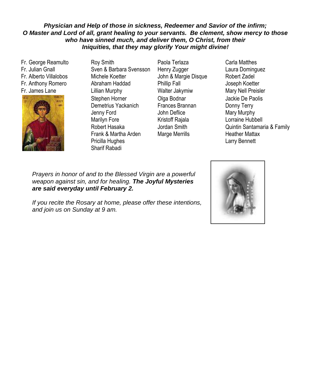#### *Physician and Help of those in sickness, Redeemer and Savior of the infirm; O Master and Lord of all, grant healing to your servants. Be clement, show mercy to those who have sinned much, and deliver them, O Christ, from their Iniquities, that they may glorify Your might divine!*

Fr. George Reamulto Fr. Julian Gnall Fr. Alberto Villalobos Fr. Anthony Romero Fr. James Lane



- Roy Smith Sven & Barbara Svensson Michele Koetter Abraham Haddad Lillian Murphy Stephen Horner Demetrius Yackanich Jenny Ford Marilyn Fore Robert Hasaka Frank & Martha Arden Pricilla Hughes Sharif Rabadi
- Paola Terlaza Henry Zugger John & Margie Disque Phillip Fall Walter Jakymiw Olga Bodnar Frances Brannan John Deflice Kristoff Rajala Jordan Smith Marge Merrills
- Carla Matthes Laura Dominguez Robert Zadel Joseph Koetter Mary Nell Preisler Jackie De Paolis Donny Terry Mary Murphy Lorraine Hubbell Quintin Santamaria & Family Heather Mattax Larry Bennett

Katrina Andersonna to the Blessea v weapon against sin, and for healing. **The Joyful Mysteries** *are said everyday until February 2.* Jackie De Paolis Prayers in honor of and to the Blessed Virgin are a powerful

Marilyn Fore-Family If you recite the Rosary at home, please offer these intentions, and join us on Sunday at 9 am.

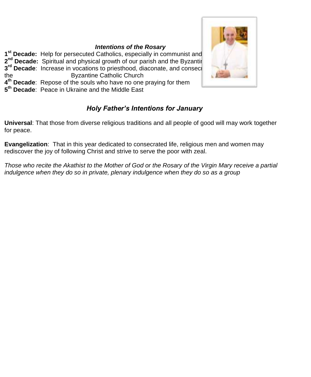#### *Intentions of the Rosary*

**1<sup>st</sup> Decade:** Help for persecuted Catholics, especially in communist and **2<sup>nd</sup> Decade:** Spiritual and physical growth of our parish and the Byzantine Catholic Church **3<sup>rd</sup> Decade**: Increase in vocations to priesthood, diaconate, and consecretive Life to serve the serve the Byzantine Catholic Church **4 th Decade**: Repose of the souls who have no one praying for them **5 th Decade**: Peace in Ukraine and the Middle East



**Universal**: That those from diverse religious traditions and all people of good will may work together for peace.

**Evangelization**: That in this year dedicated to consecrated life, religious men and women may rediscover the joy of following Christ and strive to serve the poor with zeal.

*Those who recite the Akathist to the Mother of God or the Rosary of the Virgin Mary receive a partial indulgence when they do so in private, plenary indulgence when they do so as a group*

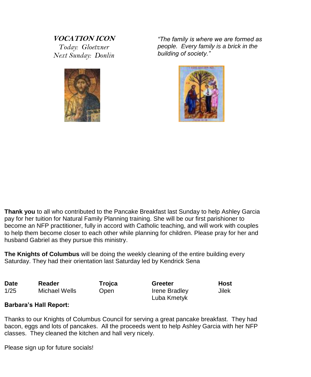### **VOCATION ICON** *Today: Gloetzner Next Sunday: Donlin*



*"The family is where we are formed as people. Every family is a brick in the building of society."*



**Thank you** to all who contributed to the Pancake Breakfast last Sunday to help Ashley Garcia pay for her tuition for Natural Family Planning training. She will be our first parishioner to become an NFP practitioner, fully in accord with Catholic teaching, and will work with couples to help them become closer to each other while planning for children. Please pray for her and husband Gabriel as they pursue this ministry.

**The Knights of Columbus** will be doing the weekly cleaning of the entire building every Saturday. They had their orientation last Saturday led by Kendrick Sena

| <b>Date</b> | Reader        | Trojca | Greeter       | Host  |
|-------------|---------------|--------|---------------|-------|
| 1/25        | Michael Wells | Open   | Irene Bradley | Jilek |
|             |               |        | Luba Kmetyk   |       |

#### **Barbara's Hall Report:**

Thanks to our Knights of Columbus Council for serving a great pancake breakfast. They had bacon, eggs and lots of pancakes. All the proceeds went to help Ashley Garcia with her NFP classes. They cleaned the kitchen and hall very nicely.

Please sign up for future socials!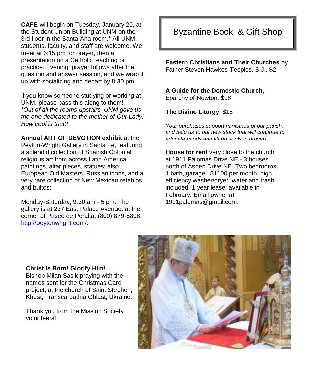**CAFE** will begin on Tuesday, January 20, at the Student Union Building at UNM on the 3rd floor in the Santa Ana room.\* All UNM students, faculty, and staff are welcome. We meet at 6:15 pm for prayer, then a presentation on a Catholic teaching or practice. Evening prayer follows after the question and answer session, and we wrap it up with socializing and depart by 8:30 pm.

If you know someone studying or working at UNM, please pass this along to them! *\*Out of all the rooms upstairs, UNM gave us the one dedicated to the mother of Our Lady! How cool is that?*

**Annual ART OF DEVOTION exhibit** at the Peyton-Wright Gallery in Santa Fe, featuring a splendid collection of Spanish Colonial religious art from across Latin America: paintings, altar pieces, statues; also European Old Masters, Russian icons, and a very rare collection of New Mexican retablos and bultos:

Monday-Saturday, 9:30 am - 5 pm. The gallery is at 237 East Palace Avenue, at the corner of Paseo de Peralta, (800) 879-8898, [http://peytonwright.com/.](http://peytonwright.com/)

# Byzantine Book & Gift Shop

**Eastern Christians and Their Churches** by Father Steven Hawkes-Teeples, S.J., \$2

**A Guide for the Domestic Church,**  Eparchy of Newton, \$18

**The Divine Liturgy**, \$15

*Your purchases support ministries of our parish, and help us to but new stock that will continue to educate minds and lift up souls in prayer!*

**House for rent** very close to the church at 1911 Palomas Drive NE - 3 houses north of Aspen Drive NE. Two bedrooms, 1 bath, garage, \$1100 per month, high efficiency washer/dryer, water and trash included, 1 year lease; available in February. Email owner at 1911palomas@gmail.com.

#### **Christ Is Born! Glorify Him!**

Bishop Milan Sasik praying with the names sent for the Christmas Card project, at the church of Saint Stephen, Khust, Transcarpathia Oblast, Ukraine.

Thank you from the Mission Society volunteers!

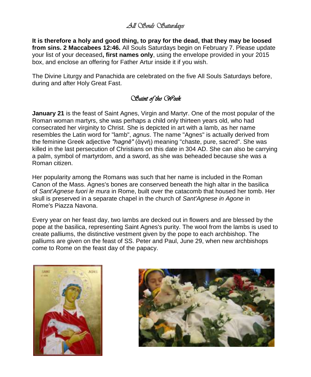# *All Souls Saturdays*

**It is therefore a holy and good thing, to pray for the dead, that they may be loosed from sins. 2 Maccabees 12:46.** All Souls Saturdays begin on February 7. Please update your list of your deceased**, first names only**, using the envelope provided in your 2015 box, and enclose an offering for Father Artur inside it if you wish.

The Divine Liturgy and Panachida are celebrated on the five All Souls Saturdays before, during and after Holy Great Fast.

## *Saint of the Week*

**January 21** is the feast of Saint Agnes, Virgin and Martyr. One of the most popular of the Roman woman martyrs, she was perhaps a child only thirteen years old, who had consecrated her virginity to Christ. She is depicted in art with a [lamb,](http://en.wikipedia.org/wiki/Domestic_sheep) as her name resembles the [Latin](http://en.wikipedia.org/wiki/Latin) word for "lamb", *agnus*. The name "Agnes" is actually derived from the feminine Greek adjective *"hagnē"* (ἁγνή) meaning "chaste, pure, sacred". She was killed in the last persecution of Christians on this date in 304 AD. She can also be carrying a palm, symbol of martyrdom, and a sword, as she was beheaded because she was a Roman citizen.

Her popularity among the Romans was such that her name is included in the Roman Canon of the Mass. Agnes's bones are conserved beneath the high altar in the basilica of *[Sant'Agnese fuori le mura](http://en.wikipedia.org/wiki/Sant%27Agnese_fuori_le_mura)* in Rome, built over the [catacomb](http://en.wikipedia.org/wiki/Catacomb) that housed her tomb. Her skull is preserved in a separate chapel in the church of *[Sant'Agnese in Agone](http://en.wikipedia.org/wiki/Sant%27Agnese_in_Agone)* in Rome's [Piazza Navona.](http://en.wikipedia.org/wiki/Piazza_Navona)

Every year on her feast day, two lambs are decked out in flowers and are blessed by the pope at the basilica, representing Saint Agnes's purity. The wool from the lambs is used to create [palliums,](http://www.newadvent.org/cathen/11427a.htm) the distinctive vestment given by the pope to each archbishop. The palliums are given on the feast of SS. Peter and Paul, June 29, when new archbishops come to Rome on the feast day of the papacy.